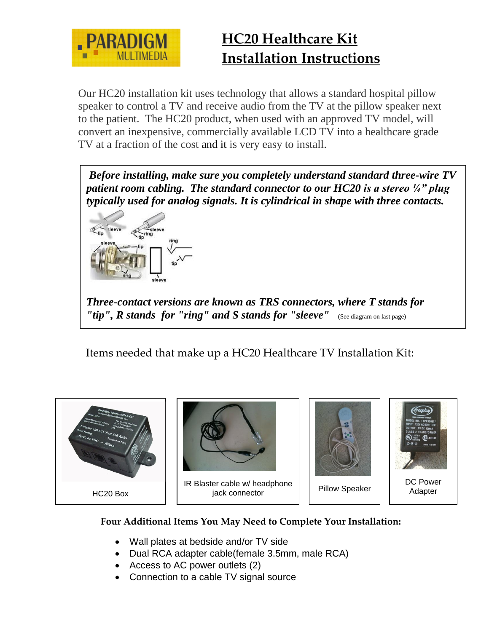

Our HC20 installation kit uses technology that allows a standard hospital pillow speaker to control a TV and receive audio from the TV at the pillow speaker next to the patient. The HC20 product, when used with an approved TV model, will convert an inexpensive, commercially available LCD TV into a healthcare grade TV at a fraction of the cost and it is very easy to install.

*Before installing, make sure you completely understand standard three-wire TV patient room cabling. The standard connector to our HC20 is a stereo ¼" plug typically used for [analog signals.](http://en.wikipedia.org/wiki/Analog_signal) It is cylindrical in shape with three contacts.* 



*Three-contact versions are known as TRS connectors, where T stands for*  "tip", R stands for "ring" and S stands for "sleeve" (See diagram on last page)

Items needed that make up a HC20 Healthcare TV Installation Kit:



#### **Four Additional Items You May Need to Complete Your Installation:**

- Wall plates at bedside and/or TV side
- Dual RCA adapter cable(female 3.5mm, male RCA)
- Access to AC power outlets (2)
- Connection to a cable TV signal source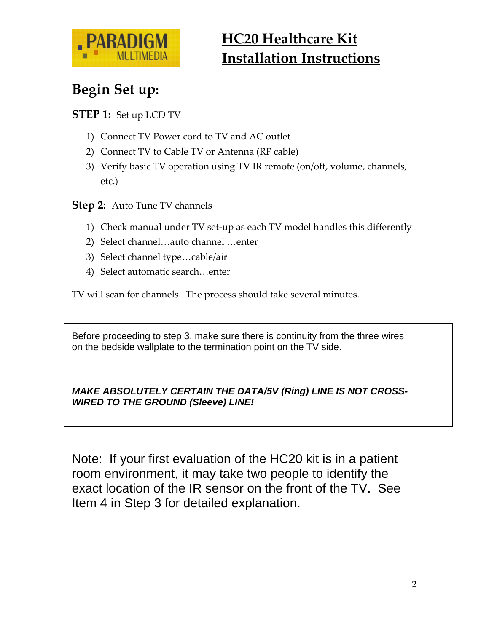

# **Begin Set up:**

#### **STEP 1:** Set up LCD TV

- 1) Connect TV Power cord to TV and AC outlet
- 2) Connect TV to Cable TV or Antenna (RF cable)
- 3) Verify basic TV operation using TV IR remote (on/off, volume, channels, etc.)

#### **Step 2:** Auto Tune TV channels

- 1) Check manual under TV set-up as each TV model handles this differently
- 2) Select channel…auto channel …enter
- 3) Select channel type…cable/air
- 4) Select automatic search…enter

TV will scan for channels. The process should take several minutes.

Before proceeding to step 3, make sure there is continuity from the three wires on the bedside wallplate to the termination point on the TV side.

#### *MAKE ABSOLUTELY CERTAIN THE DATA/5V (Ring) LINE IS NOT CROSS-WIRED TO THE GROUND (Sleeve) LINE!*

Note: If your first evaluation of the HC20 kit is in a patient room environment, it may take two people to identify the exact location of the IR sensor on the front of the TV. See Item 4 in Step 3 for detailed explanation.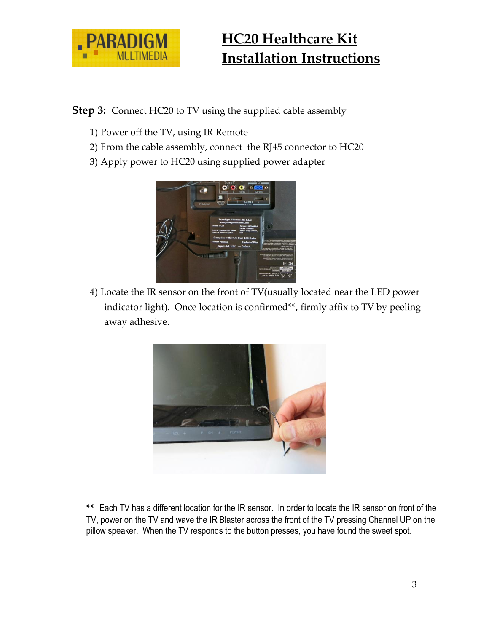

**Step 3:** Connect HC20 to TV using the supplied cable assembly

- 1) Power off the TV, using IR Remote
- 2) From the cable assembly, connect the RJ45 connector to HC20
- 3) Apply power to HC20 using supplied power adapter



4) Locate the IR sensor on the front of TV(usually located near the LED power indicator light). Once location is confirmed\*\*, firmly affix to TV by peeling away adhesive.



**\*\*** Each TV has a different location for the IR sensor. In order to locate the IR sensor on front of the TV, power on the TV and wave the IR Blaster across the front of the TV pressing Channel UP on the pillow speaker. When the TV responds to the button presses, you have found the sweet spot.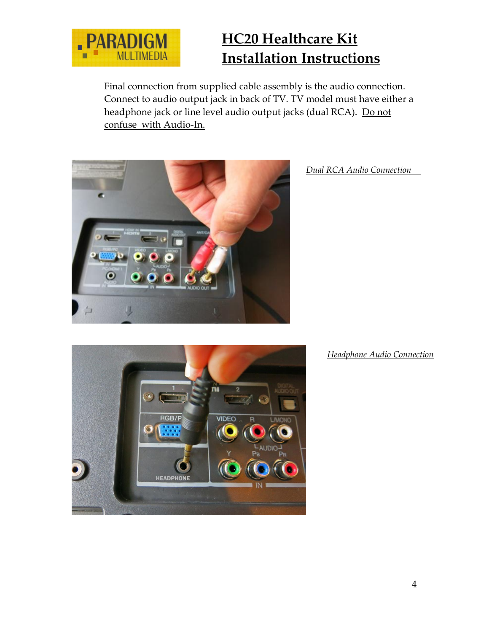

Final connection from supplied cable assembly is the audio connection. Connect to audio output jack in back of TV. TV model must have either a headphone jack or line level audio output jacks (dual RCA). Do not confuse with Audio-In.



*Dual RCA Audio Connection*



#### *Headphone Audio Connection*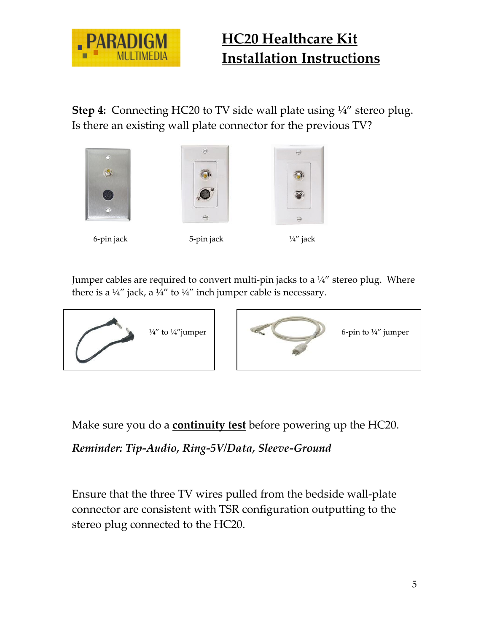

**Step 4:** Connecting HC20 to TV side wall plate using ¼" stereo plug. Is there an existing wall plate connector for the previous TV?







Jumper cables are required to convert multi-pin jacks to a  $\frac{1}{4}$  stereo plug. Where there is a  $\frac{1}{4}$ " jack, a  $\frac{1}{4}$ " to  $\frac{1}{4}$ " inch jumper cable is necessary.





Make sure you do a **continuity test** before powering up the HC20.

*Reminder: Tip-Audio, Ring-5V/Data, Sleeve-Ground*

Ensure that the three TV wires pulled from the bedside wall-plate connector are consistent with TSR configuration outputting to the stereo plug connected to the HC20.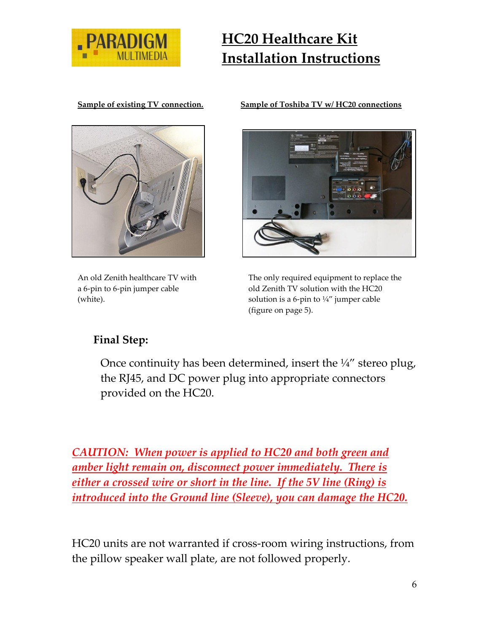



An old Zenith healthcare TV with a 6-pin to 6-pin jumper cable (white).

#### **Sample of existing TV connection. Sample of Toshiba TV w/ HC20 connections**



The only required equipment to replace the old Zenith TV solution with the HC20 solution is a 6-pin to  $\frac{1}{4}$  jumper cable (figure on page 5).

### **Final Step:**

Once continuity has been determined, insert the  $\frac{1}{4}$  stereo plug, the RJ45, and DC power plug into appropriate connectors provided on the HC20.

*CAUTION: When power is applied to HC20 and both green and amber light remain on, disconnect power immediately. There is either a crossed wire or short in the line. If the 5V line (Ring) is introduced into the Ground line (Sleeve), you can damage the HC20.* 

HC20 units are not warranted if cross-room wiring instructions, from the pillow speaker wall plate, are not followed properly.